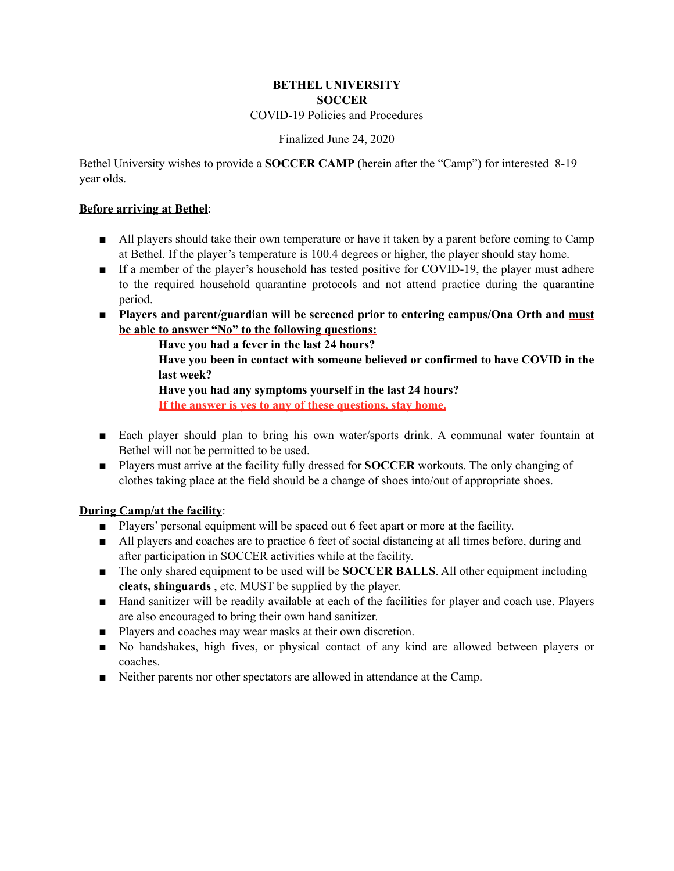### **BETHEL UNIVERSITY SOCCER**  COVID-19 Policies and Procedures

## Finalized June 24, 2020

Bethel University wishes to provide a **SOCCER CAMP** (herein after the "Camp") for interested 8-19 year olds.

### **Before arriving at Bethel**:

- All players should take their own temperature or have it taken by a parent before coming to Camp at Bethel. If the player's temperature is 100.4 degrees or higher, the player should stay home.
- If a member of the player's household has tested positive for COVID-19, the player must adhere to the required household quarantine protocols and not attend practice during the quarantine period.
- **Players and parent/guardian will be screened prior to entering campus/Ona Orth and must be able to answer "No" to the following questions:**

 **Have you had a fever in the last 24 hours?** 

 **Have you been in contact with someone believed or confirmed to have COVID in the last week?** 

#### **Have you had any symptoms yourself in the last 24 hours?**

 **If the answer is yes to any of these questions, stay home.** 

- Each player should plan to bring his own water/sports drink. A communal water fountain at Bethel will not be permitted to be used.
- Players must arrive at the facility fully dressed for **SOCCER** workouts. The only changing of clothes taking place at the field should be a change of shoes into/out of appropriate shoes.

# **During Camp/at the facility**:

- Players' personal equipment will be spaced out 6 feet apart or more at the facility.
- All players and coaches are to practice 6 feet of social distancing at all times before, during and after participation in SOCCER activities while at the facility.
- The only shared equipment to be used will be **SOCCER BALLS**. All other equipment including **cleats, shinguards** , etc. MUST be supplied by the player.
- Hand sanitizer will be readily available at each of the facilities for player and coach use. Players are also encouraged to bring their own hand sanitizer.
- Players and coaches may wear masks at their own discretion.
- No handshakes, high fives, or physical contact of any kind are allowed between players or coaches.
- Neither parents nor other spectators are allowed in attendance at the Camp.